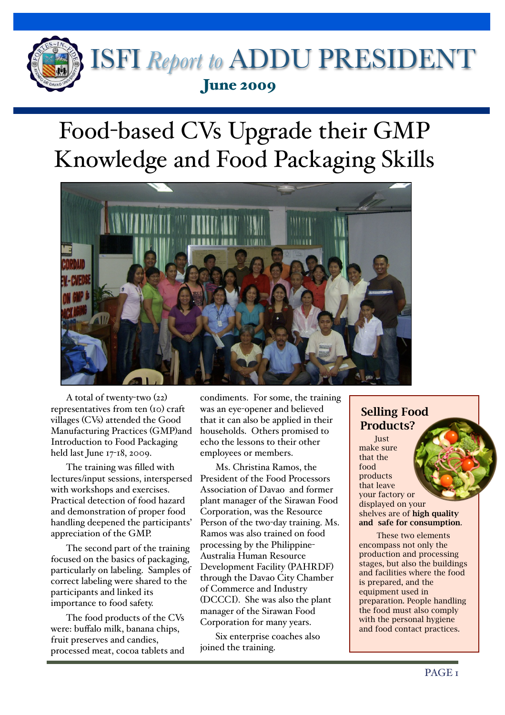

## Food-based CVs Upgrade their GMP Knowledge and Food Packaging Skills



A total of twenty-two (22) representatives from ten (10) craft villages (CVs) attended the Good Manufacturing Practices (GMP)and Introduction to Food Packaging held last June 17-18, 2009.

 $\overline{a}$ 

The training was filled with lectures/input sessions, interspersed with workshops and exercises. Practical detection of food hazard and demonstration of proper food handling deepened the participants' appreciation of the GMP.

The second part of the training focused on the basics of packaging, particularly on labeling. Samples of correct labeling were shared to the participants and linked its importance to food safety.

The food products of the CVs were: buffalo milk, banana chips, fruit preserves and candies, processed meat, cocoa tablets and condiments. For some, the training was an eye-opener and believed that it can also be applied in their households. Others promised to echo the lessons to their other employees or members.

Ms. Christina Ramos, the President of the Food Processors Association of Davao and former plant manager of the Sirawan Food Corporation, was the Resource Person of the two-day training. Ms. Ramos was also trained on food processing by the Philippine-Australia Human Resource Development Facility (PAHRDF) through the Davao City Chamber of Commerce and Industry (DCCCI). She was also the plant manager of the Sirawan Food Corporation for many years.

Six enterprise coaches also joined the training.

## Selling Food Products?

**Just** make sure that the food products that leave your factory or displayed on your shelves are of high quality and safe for consumption.

 These two elements encompass not only the production and processing stages, but also the buildings and facilities where the food is prepared, and the equipment used in preparation. People handling the food must also comply with the personal hygiene and food contact practices.